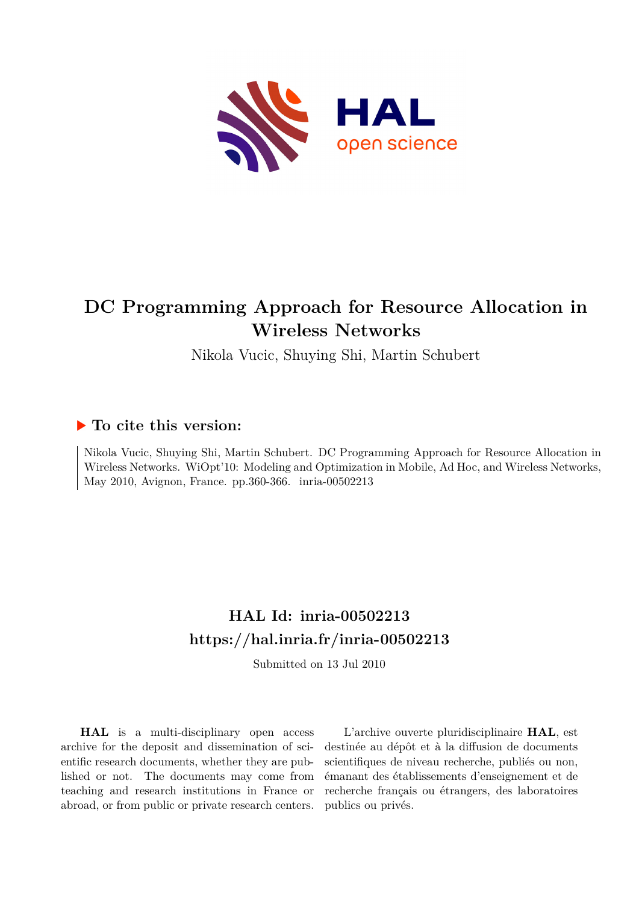

# **DC Programming Approach for Resource Allocation in Wireless Networks**

Nikola Vucic, Shuying Shi, Martin Schubert

# **To cite this version:**

Nikola Vucic, Shuying Shi, Martin Schubert. DC Programming Approach for Resource Allocation in Wireless Networks. WiOpt'10: Modeling and Optimization in Mobile, Ad Hoc, and Wireless Networks, May 2010, Avignon, France. pp.360-366. inria-00502213

# **HAL Id: inria-00502213 <https://hal.inria.fr/inria-00502213>**

Submitted on 13 Jul 2010

**HAL** is a multi-disciplinary open access archive for the deposit and dissemination of scientific research documents, whether they are published or not. The documents may come from teaching and research institutions in France or abroad, or from public or private research centers.

L'archive ouverte pluridisciplinaire **HAL**, est destinée au dépôt et à la diffusion de documents scientifiques de niveau recherche, publiés ou non, émanant des établissements d'enseignement et de recherche français ou étrangers, des laboratoires publics ou privés.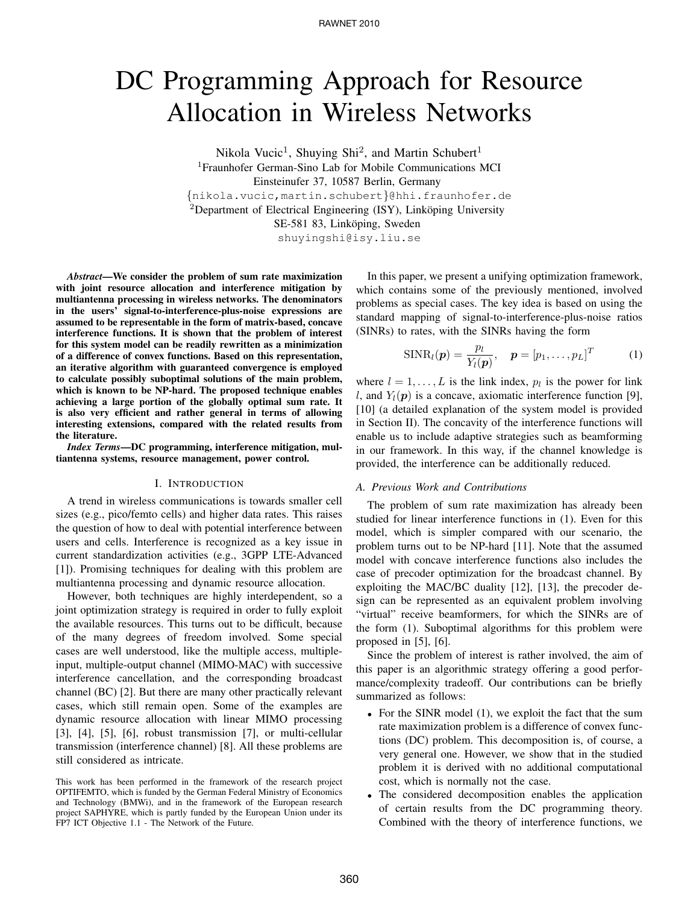# DC Programming Approach for Resource Allocation in Wireless Networks

Nikola Vucic<sup>1</sup>, Shuying Shi<sup>2</sup>, and Martin Schubert<sup>1</sup> <sup>1</sup>Fraunhofer German-Sino Lab for Mobile Communications MCI Einsteinufer 37, 10587 Berlin, Germany

{nikola.vucic,martin.schubert}@hhi.fraunhofer.de <sup>2</sup>Department of Electrical Engineering (ISY), Linköping University

SE-581 83, Linköping, Sweden

shuyingshi@isy.liu.se

*Abstract*—We consider the problem of sum rate maximization with joint resource allocation and interference mitigation by multiantenna processing in wireless networks. The denominators in the users' signal-to-interference-plus-noise expressions are assumed to be representable in the form of matrix-based, concave interference functions. It is shown that the problem of interest for this system model can be readily rewritten as a minimization of a difference of convex functions. Based on this representation, an iterative algorithm with guaranteed convergence is employed to calculate possibly suboptimal solutions of the main problem, which is known to be NP-hard. The proposed technique enables achieving a large portion of the globally optimal sum rate. It is also very efficient and rather general in terms of allowing interesting extensions, compared with the related results from the literature.

*Index Terms*—DC programming, interference mitigation, multiantenna systems, resource management, power control.

#### I. INTRODUCTION

A trend in wireless communications is towards smaller cell sizes (e.g., pico/femto cells) and higher data rates. This raises the question of how to deal with potential interference between users and cells. Interference is recognized as a key issue in current standardization activities (e.g., 3GPP LTE-Advanced [1]). Promising techniques for dealing with this problem are multiantenna processing and dynamic resource allocation.

However, both techniques are highly interdependent, so a joint optimization strategy is required in order to fully exploit the available resources. This turns out to be difficult, because of the many degrees of freedom involved. Some special cases are well understood, like the multiple access, multipleinput, multiple-output channel (MIMO-MAC) with successive interference cancellation, and the corresponding broadcast channel (BC) [2]. But there are many other practically relevant cases, which still remain open. Some of the examples are dynamic resource allocation with linear MIMO processing [3], [4], [5], [6], robust transmission [7], or multi-cellular transmission (interference channel) [8]. All these problems are still considered as intricate.

This work has been performed in the framework of the research project OPTIFEMTO, which is funded by the German Federal Ministry of Economics and Technology (BMWi), and in the framework of the European research project SAPHYRE, which is partly funded by the European Union under its FP7 ICT Objective 1.1 - The Network of the Future.

In this paper, we present a unifying optimization framework, which contains some of the previously mentioned, involved problems as special cases. The key idea is based on using the standard mapping of signal-to-interference-plus-noise ratios (SINRs) to rates, with the SINRs having the form

$$
\text{SINR}_l(\boldsymbol{p}) = \frac{p_l}{Y_l(\boldsymbol{p})}, \quad \boldsymbol{p} = [p_1, \dots, p_L]^T \tag{1}
$$

where  $l = 1, \dots, L$  is the link index,  $p_l$  is the power for link l, and  $Y_l(p)$  is a concave, axiomatic interference function [9], [10] (a detailed explanation of the system model is provided in Section II). The concavity of the interference functions will enable us to include adaptive strategies such as beamforming in our framework. In this way, if the channel knowledge is provided, the interference can be additionally reduced.

#### *A. Previous Work and Contributions*

The problem of sum rate maximization has already been studied for linear interference functions in (1). Even for this model, which is simpler compared with our scenario, the problem turns out to be NP-hard [11]. Note that the assumed model with concave interference functions also includes the case of precoder optimization for the broadcast channel. By exploiting the MAC/BC duality [12], [13], the precoder design can be represented as an equivalent problem involving "virtual" receive beamformers, for which the SINRs are of the form (1). Suboptimal algorithms for this problem were proposed in [5], [6].

Since the problem of interest is rather involved, the aim of this paper is an algorithmic strategy offering a good performance/complexity tradeoff. Our contributions can be briefly summarized as follows:

- For the SINR model (1), we exploit the fact that the sum rate maximization problem is a difference of convex functions (DC) problem. This decomposition is, of course, a very general one. However, we show that in the studied problem it is derived with no additional computational cost, which is normally not the case.
- The considered decomposition enables the application of certain results from the DC programming theory. Combined with the theory of interference functions, we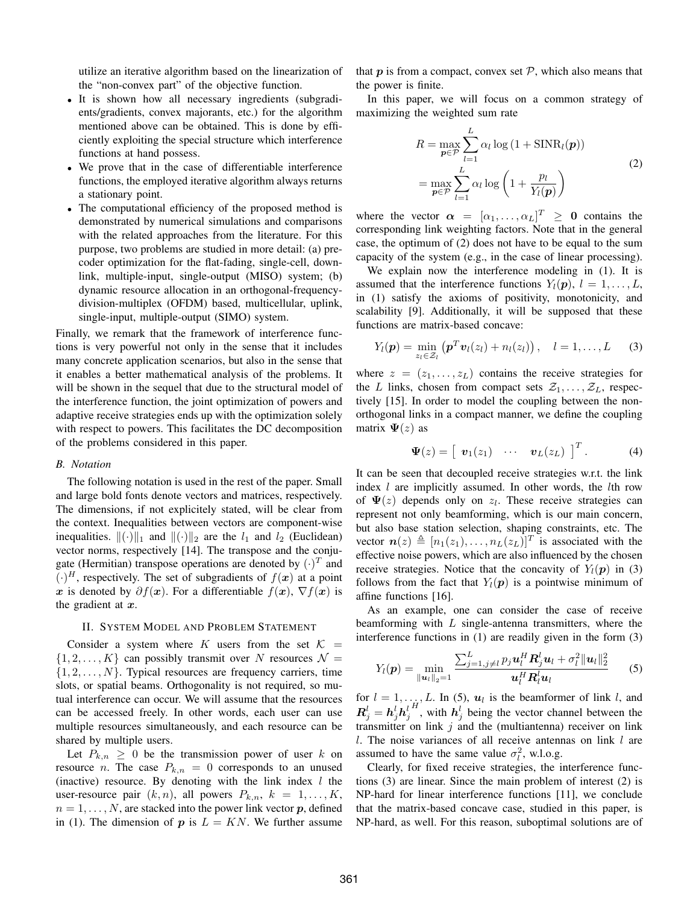utilize an iterative algorithm based on the linearization of the "non-convex part" of the objective function.

- It is shown how all necessary ingredients (subgradients/gradients, convex majorants, etc.) for the algorithm mentioned above can be obtained. This is done by efficiently exploiting the special structure which interference functions at hand possess.
- We prove that in the case of differentiable interference functions, the employed iterative algorithm always returns a stationary point.
- The computational efficiency of the proposed method is demonstrated by numerical simulations and comparisons with the related approaches from the literature. For this purpose, two problems are studied in more detail: (a) precoder optimization for the flat-fading, single-cell, downlink, multiple-input, single-output (MISO) system; (b) dynamic resource allocation in an orthogonal-frequencydivision-multiplex (OFDM) based, multicellular, uplink, single-input, multiple-output (SIMO) system.

Finally, we remark that the framework of interference functions is very powerful not only in the sense that it includes many concrete application scenarios, but also in the sense that it enables a better mathematical analysis of the problems. It will be shown in the sequel that due to the structural model of the interference function, the joint optimization of powers and adaptive receive strategies ends up with the optimization solely with respect to powers. This facilitates the DC decomposition of the problems considered in this paper.

## *B. Notation*

The following notation is used in the rest of the paper. Small and large bold fonts denote vectors and matrices, respectively. The dimensions, if not explicitely stated, will be clear from the context. Inequalities between vectors are component-wise inequalities.  $\|(\cdot)\|_1$  and  $\|(\cdot)\|_2$  are the  $l_1$  and  $l_2$  (Euclidean) vector norms, respectively [14]. The transpose and the conjugate (Hermitian) transpose operations are denoted by  $(\cdot)^T$  and  $(\cdot)^H$ , respectively. The set of subgradients of  $f(x)$  at a point x is denoted by  $\partial f(x)$ . For a differentiable  $f(x)$ ,  $\nabla f(x)$  is the gradient at  $x$ .

## II. SYSTEM MODEL AND PROBLEM STATEMENT

Consider a system where K users from the set  $K =$  $\{1, 2, \ldots, K\}$  can possibly transmit over N resources  $\mathcal{N} =$  $\{1, 2, \ldots, N\}$ . Typical resources are frequency carriers, time slots, or spatial beams. Orthogonality is not required, so mutual interference can occur. We will assume that the resources can be accessed freely. In other words, each user can use multiple resources simultaneously, and each resource can be shared by multiple users.

Let  $P_{k,n} \geq 0$  be the transmission power of user k on resource *n*. The case  $P_{k,n} = 0$  corresponds to an unused (inactive) resource. By denoting with the link index  $l$  the user-resource pair  $(k, n)$ , all powers  $P_{k,n}$ ,  $k = 1, \ldots, K$ ,  $n = 1, \ldots, N$ , are stacked into the power link vector p, defined in (1). The dimension of p is  $L = KN$ . We further assume that  $p$  is from a compact, convex set  $P$ , which also means that the power is finite.

In this paper, we will focus on a common strategy of maximizing the weighted sum rate

$$
R = \max_{\mathbf{p} \in \mathcal{P}} \sum_{l=1}^{L} \alpha_l \log \left( 1 + \text{SINR}_l(\mathbf{p}) \right)
$$
  
= 
$$
\max_{\mathbf{p} \in \mathcal{P}} \sum_{l=1}^{L} \alpha_l \log \left( 1 + \frac{p_l}{Y_l(\mathbf{p})} \right)
$$
 (2)

where the vector  $\alpha = [\alpha_1, \dots, \alpha_L]^T \geq 0$  contains the corresponding link weighting factors. Note that in the general case, the optimum of (2) does not have to be equal to the sum capacity of the system (e.g., in the case of linear processing).

We explain now the interference modeling in (1). It is assumed that the interference functions  $Y_l(\boldsymbol{p}), l = 1, \ldots, L$ , in (1) satisfy the axioms of positivity, monotonicity, and scalability [9]. Additionally, it will be supposed that these functions are matrix-based concave:

$$
Y_l(\boldsymbol{p}) = \min_{z_l \in \mathcal{Z}_l} \left( \boldsymbol{p}^T \boldsymbol{v}_l(z_l) + n_l(z_l) \right), \quad l = 1, \ldots, L \quad (3)
$$

where  $z = (z_1, \ldots, z_L)$  contains the receive strategies for the L links, chosen from compact sets  $\mathcal{Z}_1, \ldots, \mathcal{Z}_L$ , respectively [15]. In order to model the coupling between the nonorthogonal links in a compact manner, we define the coupling matrix  $\Psi(z)$  as

$$
\mathbf{\Psi}(z) = \left[ \begin{array}{ccc} \mathbf{v}_1(z_1) & \cdots & \mathbf{v}_L(z_L) \end{array} \right]^T. \tag{4}
$$

It can be seen that decoupled receive strategies w.r.t. the link index *l* are implicitly assumed. In other words, the *lth* row of  $\Psi(z)$  depends only on  $z_l$ . These receive strategies can represent not only beamforming, which is our main concern, but also base station selection, shaping constraints, etc. The vector  $n(z) \triangleq [n_1(z_1), \ldots, n_L(z_L)]^T$  is associated with the effective noise powers, which are also influenced by the chosen receive strategies. Notice that the concavity of  $Y_l(\mathbf{p})$  in (3) follows from the fact that  $Y_l(p)$  is a pointwise minimum of affine functions [16].

As an example, one can consider the case of receive beamforming with  $L$  single-antenna transmitters, where the interference functions in (1) are readily given in the form (3)

$$
Y_l(\boldsymbol{p}) = \min_{\|\boldsymbol{u}_l\|_2 = 1} \frac{\sum_{j=1, j\neq l}^L p_j \boldsymbol{u}_l^H \boldsymbol{R}_j^l \boldsymbol{u}_l + \sigma_l^2 \|\boldsymbol{u}_l\|_2^2}{\boldsymbol{u}_l^H \boldsymbol{R}_l^l \boldsymbol{u}_l}
$$
(5)

for  $l = 1, \ldots, L$ . In (5),  $u_l$  is the beamformer of link l, and  $\boldsymbol{R}_{j}^{l}=\boldsymbol{h}_{j}^{l}\boldsymbol{h}_{j}^{l}$  $H'$ , with  $h_j^l$  being the vector channel between the transmitter on link  $j$  and the (multiantenna) receiver on link  $l$ . The noise variances of all receive antennas on link  $l$  are assumed to have the same value  $\sigma_l^2$ , w.l.o.g.

Clearly, for fixed receive strategies, the interference functions (3) are linear. Since the main problem of interest (2) is NP-hard for linear interference functions [11], we conclude that the matrix-based concave case, studied in this paper, is NP-hard, as well. For this reason, suboptimal solutions are of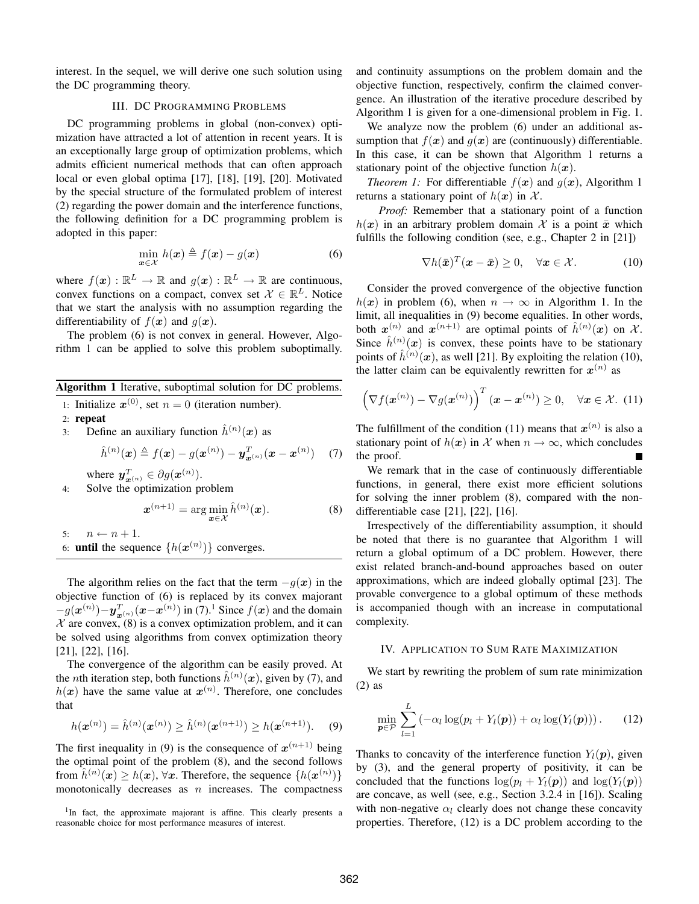interest. In the sequel, we will derive one such solution using the DC programming theory.

# III. DC PROGRAMMING PROBLEMS

DC programming problems in global (non-convex) optimization have attracted a lot of attention in recent years. It is an exceptionally large group of optimization problems, which admits efficient numerical methods that can often approach local or even global optima [17], [18], [19], [20]. Motivated by the special structure of the formulated problem of interest (2) regarding the power domain and the interference functions, the following definition for a DC programming problem is adopted in this paper:

$$
\min_{\boldsymbol{x}\in\mathcal{X}}\,h(\boldsymbol{x})\triangleq f(\boldsymbol{x})-g(\boldsymbol{x})\tag{6}
$$

where  $f(\boldsymbol{x}) : \mathbb{R}^L \to \mathbb{R}$  and  $g(\boldsymbol{x}) : \mathbb{R}^L \to \mathbb{R}$  are continuous, convex functions on a compact, convex set  $\mathcal{X} \in \mathbb{R}^L$ . Notice that we start the analysis with no assumption regarding the differentiability of  $f(x)$  and  $q(x)$ .

The problem (6) is not convex in general. However, Algorithm 1 can be applied to solve this problem suboptimally.

| Algorithm 1 Iterative, suboptimal solution for DC problems. |  |  |  |  |
|-------------------------------------------------------------|--|--|--|--|
|                                                             |  |  |  |  |

- 1: Initialize  $x^{(0)}$ , set  $n = 0$  (iteration number).
- 2: repeat
- 3: Define an auxiliary function  $\hat{h}^{(n)}(x)$  as

$$
\hat{h}^{(n)}(\bm{x}) \triangleq f(\bm{x}) - g(\bm{x}^{(n)}) - \bm{y}_{\bm{x}^{(n)}}^T(\bm{x} - \bm{x}^{(n)}) \quad (7)
$$

where  $y^T_{x^{(n)}} \in \partial g(x^{(n)})$ .

4: Solve the optimization problem

$$
\boldsymbol{x}^{(n+1)} = \arg\min_{\boldsymbol{x}\in\mathcal{X}} \hat{h}^{(n)}(\boldsymbol{x}).\tag{8}
$$

5:  $n \leftarrow n + 1$ . 6: **until** the sequence  $\{h(\boldsymbol{x}^{(n)})\}$  converges.

The algorithm relies on the fact that the term  $-g(x)$  in the objective function of (6) is replaced by its convex majorant  $-g(\boldsymbol{x}^{(n)}) - \boldsymbol{y}_{\boldsymbol{x}^{(n)}}^T(\boldsymbol{x}-\boldsymbol{x}^{(n)})$  in (7).<sup>1</sup> Since  $f(\boldsymbol{x})$  and the domain  $X$  are convex, (8) is a convex optimization problem, and it can be solved using algorithms from convex optimization theory [21], [22], [16].

The convergence of the algorithm can be easily proved. At the *n*th iteration step, both functions  $\hat{h}^{(n)}(x)$ , given by (7), and  $h(x)$  have the same value at  $x^{(n)}$ . Therefore, one concludes that

$$
h(\boldsymbol{x}^{(n)}) = \hat{h}^{(n)}(\boldsymbol{x}^{(n)}) \ge \hat{h}^{(n)}(\boldsymbol{x}^{(n+1)}) \ge h(\boldsymbol{x}^{(n+1)}).
$$
 (9)

The first inequality in (9) is the consequence of  $x^{(n+1)}$  being the optimal point of the problem (8), and the second follows from  $\hat{h}^{(n)}(x) \ge h(x)$ ,  $\forall x$ . Therefore, the sequence  $\{h(x^{(n)})\}$ monotonically decreases as  $n$  increases. The compactness and continuity assumptions on the problem domain and the objective function, respectively, confirm the claimed convergence. An illustration of the iterative procedure described by Algorithm 1 is given for a one-dimensional problem in Fig. 1.

We analyze now the problem (6) under an additional assumption that  $f(x)$  and  $g(x)$  are (continuously) differentiable. In this case, it can be shown that Algorithm 1 returns a stationary point of the objective function  $h(x)$ .

*Theorem 1:* For differentiable  $f(x)$  and  $g(x)$ , Algorithm 1 returns a stationary point of  $h(x)$  in X.

*Proof:* Remember that a stationary point of a function  $h(x)$  in an arbitrary problem domain X is a point  $\bar{x}$  which fulfills the following condition (see, e.g., Chapter 2 in [21])

$$
\nabla h(\bar{\boldsymbol{x}})^T(\boldsymbol{x}-\bar{\boldsymbol{x}}) \geq 0, \quad \forall \boldsymbol{x} \in \mathcal{X}.
$$
 (10)

Consider the proved convergence of the objective function  $h(x)$  in problem (6), when  $n \to \infty$  in Algorithm 1. In the limit, all inequalities in (9) become equalities. In other words, both  $x^{(n)}$  and  $x^{(n+1)}$  are optimal points of  $\hat{h}^{(n)}(x)$  on X. Since  $\hat{h}^{(n)}(x)$  is convex, these points have to be stationary points of  $\hat{h}^{(n)}(x)$ , as well [21]. By exploiting the relation (10), the latter claim can be equivalently rewritten for  $x^{(n)}$  as

$$
\left(\nabla f(\boldsymbol{x}^{(n)}) - \nabla g(\boldsymbol{x}^{(n)})\right)^T (\boldsymbol{x} - \boldsymbol{x}^{(n)}) \ge 0, \quad \forall \boldsymbol{x} \in \mathcal{X}. \tag{11}
$$

The fulfillment of the condition (11) means that  $x^{(n)}$  is also a stationary point of  $h(x)$  in X when  $n \to \infty$ , which concludes the proof.

We remark that in the case of continuously differentiable functions, in general, there exist more efficient solutions for solving the inner problem (8), compared with the nondifferentiable case [21], [22], [16].

Irrespectively of the differentiability assumption, it should be noted that there is no guarantee that Algorithm 1 will return a global optimum of a DC problem. However, there exist related branch-and-bound approaches based on outer approximations, which are indeed globally optimal [23]. The provable convergence to a global optimum of these methods is accompanied though with an increase in computational complexity.

#### IV. APPLICATION TO SUM RATE MAXIMIZATION

We start by rewriting the problem of sum rate minimization (2) as

$$
\min_{\boldsymbol{p}\in\mathcal{P}}\sum_{l=1}^{L}\left(-\alpha_{l}\log(p_{l}+Y_{l}(\boldsymbol{p}))+\alpha_{l}\log(Y_{l}(\boldsymbol{p}))\right).
$$
 (12)

Thanks to concavity of the interference function  $Y_l(p)$ , given by (3), and the general property of positivity, it can be concluded that the functions  $\log(p_l + Y_l(\boldsymbol{p}))$  and  $\log(Y_l(\boldsymbol{p}))$ are concave, as well (see, e.g., Section 3.2.4 in [16]). Scaling with non-negative  $\alpha_l$  clearly does not change these concavity properties. Therefore, (12) is a DC problem according to the

<sup>&</sup>lt;sup>1</sup>In fact, the approximate majorant is affine. This clearly presents a reasonable choice for most performance measures of interest.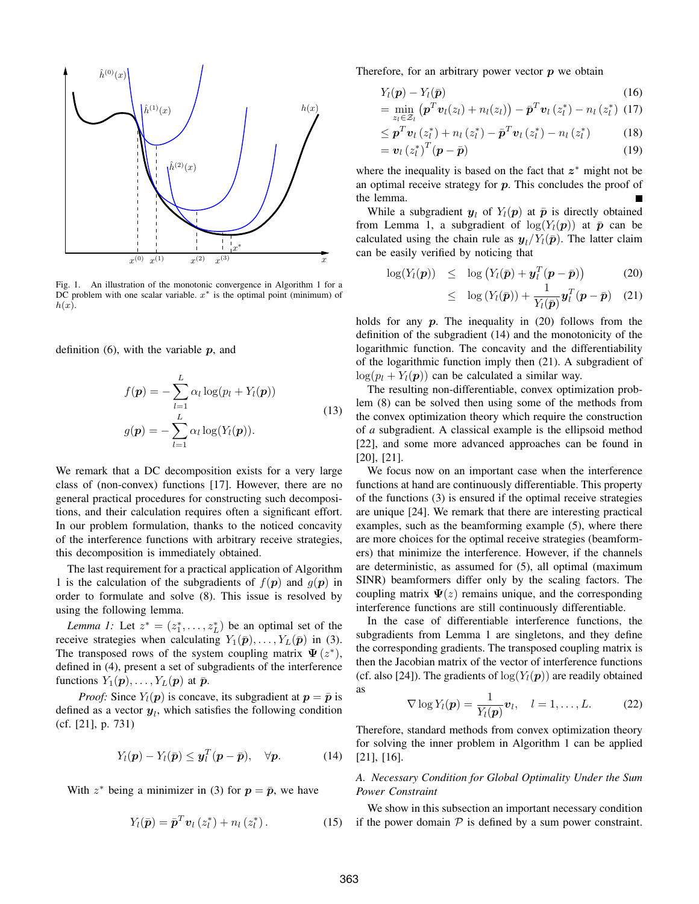

Fig. 1. An illustration of the monotonic convergence in Algorithm 1 for a DC problem with one scalar variable.  $x^*$  is the optimal point (minimum) of  $h(x)$ .

definition  $(6)$ , with the variable  $p$ , and

$$
f(\mathbf{p}) = -\sum_{l=1}^{L} \alpha_l \log(p_l + Y_l(\mathbf{p}))
$$
  

$$
g(\mathbf{p}) = -\sum_{l=1}^{L} \alpha_l \log(Y_l(\mathbf{p})).
$$
 (13)

We remark that a DC decomposition exists for a very large class of (non-convex) functions [17]. However, there are no general practical procedures for constructing such decompositions, and their calculation requires often a significant effort. In our problem formulation, thanks to the noticed concavity of the interference functions with arbitrary receive strategies, this decomposition is immediately obtained.

The last requirement for a practical application of Algorithm 1 is the calculation of the subgradients of  $f(\mathbf{p})$  and  $g(\mathbf{p})$  in order to formulate and solve (8). This issue is resolved by using the following lemma.

*Lemma 1:* Let  $z^* = (z_1^*, \ldots, z_L^*)$  be an optimal set of the receive strategies when calculating  $Y_1(\bar{p}), \ldots, Y_L(\bar{p})$  in (3). The transposed rows of the system coupling matrix  $\Psi(z^*)$ , defined in (4), present a set of subgradients of the interference functions  $Y_1(p), \ldots, Y_L(p)$  at  $\bar{p}$ .

*Proof:* Since  $Y_l(p)$  is concave, its subgradient at  $p = \bar{p}$  is defined as a vector  $y_l$ , which satisfies the following condition (cf. [21], p. 731)

$$
Y_l(\boldsymbol{p}) - Y_l(\bar{\boldsymbol{p}}) \leq \boldsymbol{y}_l^T(\boldsymbol{p} - \bar{\boldsymbol{p}}), \quad \forall \boldsymbol{p}.
$$
 (14)

With  $z^*$  being a minimizer in (3) for  $p = \bar{p}$ , we have

$$
Y_l(\bar{\boldsymbol{p}}) = \bar{\boldsymbol{p}}^T \boldsymbol{v}_l \left( z_l^* \right) + n_l \left( z_l^* \right). \tag{15}
$$

Therefore, for an arbitrary power vector  $p$  we obtain

$$
Y_l(\boldsymbol{p}) - Y_l(\bar{\boldsymbol{p}}) \tag{16}
$$
\n
$$
= \min_{\boldsymbol{\alpha}} \left( \boldsymbol{p}^T \boldsymbol{v}_l(z_l) + n_l(z_l) \right) - \bar{\boldsymbol{p}}^T \boldsymbol{v}_l(z_l^*) - n_l(z_l^*) \quad (17)
$$

$$
-\lim_{z_l \in \mathcal{Z}_l} \left( \mathbf{p} \cdot \mathbf{v}_l(z_l) + n_l(z_l) \right) - \mathbf{p} \cdot \mathbf{v}_l(z_l) - n_l(z_l) \cdot (1)
$$

$$
\leq \boldsymbol{p}^T \boldsymbol{v}_l \left( z_l^* \right) + n_l \left( z_l^* \right) - \bar{\boldsymbol{p}}^T \boldsymbol{v}_l \left( z_l^* \right) - n_l \left( z_l^* \right) \tag{18}
$$

$$
= \boldsymbol{v}_l \left( z_l^* \right)^T (\boldsymbol{p} - \bar{\boldsymbol{p}}) \tag{19}
$$

where the inequality is based on the fact that  $z^*$  might not be an optimal receive strategy for  $p$ . This concludes the proof of the lemma.

While a subgradient  $y_l$  of  $Y_l(p)$  at  $\bar{p}$  is directly obtained from Lemma 1, a subgradient of  $log(Y_l(p))$  at  $\bar{p}$  can be calculated using the chain rule as  $y_l/Y_l(\bar{p})$ . The latter claim can be easily verified by noticing that

$$
\log(Y_l(\boldsymbol{p})) \leq \log(Y_l(\bar{\boldsymbol{p}}) + \boldsymbol{y}_l^T(\boldsymbol{p} - \bar{\boldsymbol{p}})) \tag{20}
$$

$$
\leq \log(Y_l(\bar{\boldsymbol{p}})) + \frac{1}{Y_l(\bar{\boldsymbol{p}})} \boldsymbol{y}_l^T(\boldsymbol{p} - \bar{\boldsymbol{p}}) \quad (21)
$$

holds for any  $p$ . The inequality in (20) follows from the definition of the subgradient (14) and the monotonicity of the logarithmic function. The concavity and the differentiability of the logarithmic function imply then (21). A subgradient of  $\log(p_l + Y_l(\boldsymbol{p}))$  can be calculated a similar way.

The resulting non-differentiable, convex optimization problem (8) can be solved then using some of the methods from the convex optimization theory which require the construction of *a* subgradient. A classical example is the ellipsoid method [22], and some more advanced approaches can be found in [20], [21].

We focus now on an important case when the interference functions at hand are continuously differentiable. This property of the functions (3) is ensured if the optimal receive strategies are unique [24]. We remark that there are interesting practical examples, such as the beamforming example (5), where there are more choices for the optimal receive strategies (beamformers) that minimize the interference. However, if the channels are deterministic, as assumed for (5), all optimal (maximum SINR) beamformers differ only by the scaling factors. The coupling matrix  $\Psi(z)$  remains unique, and the corresponding interference functions are still continuously differentiable.

In the case of differentiable interference functions, the subgradients from Lemma 1 are singletons, and they define the corresponding gradients. The transposed coupling matrix is then the Jacobian matrix of the vector of interference functions (cf. also [24]). The gradients of  $log(Y<sub>l</sub>(p))$  are readily obtained as

$$
\nabla \log Y_l(\boldsymbol{p}) = \frac{1}{Y_l(\boldsymbol{p})} \boldsymbol{v}_l, \quad l = 1, \dots, L. \tag{22}
$$

Therefore, standard methods from convex optimization theory for solving the inner problem in Algorithm 1 can be applied [21], [16].

# *A. Necessary Condition for Global Optimality Under the Sum Power Constraint*

We show in this subsection an important necessary condition if the power domain  $P$  is defined by a sum power constraint.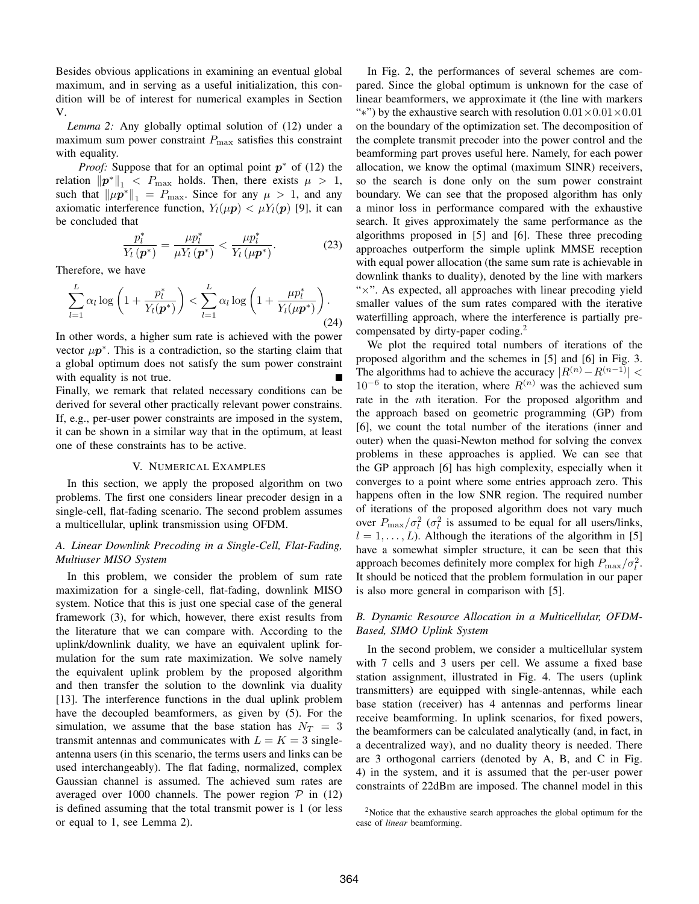Besides obvious applications in examining an eventual global maximum, and in serving as a useful initialization, this condition will be of interest for numerical examples in Section V.

*Lemma 2:* Any globally optimal solution of (12) under a maximum sum power constraint  $P_{\text{max}}$  satisfies this constraint with equality.

*Proof:* Suppose that for an optimal point  $p^*$  of (12) the relation  $\|\boldsymbol{p}^*\|_1 < P_{\text{max}}$  holds. Then, there exists  $\mu > 1$ , such that  $\|\mu \vec{p}^*\|_1 = P_{\text{max}}$ . Since for any  $\mu > 1$ , and any axiomatic interference function,  $Y_l(\mu \mathbf{p}) < \mu Y_l(\mathbf{p})$  [9], it can be concluded that

$$
\frac{p_l^*}{Y_l\left(\boldsymbol{p}^*\right)} = \frac{\mu p_l^*}{\mu Y_l\left(\boldsymbol{p}^*\right)} < \frac{\mu p_l^*}{Y_l\left(\mu \boldsymbol{p}^*\right)}.\tag{23}
$$

Therefore, we have

$$
\sum_{l=1}^{L} \alpha_l \log \left( 1 + \frac{p_l^*}{Y_l(\boldsymbol{p}^*)} \right) < \sum_{l=1}^{L} \alpha_l \log \left( 1 + \frac{\mu p_l^*}{Y_l(\mu \boldsymbol{p}^*)} \right). \tag{24}
$$

In other words, a higher sum rate is achieved with the power vector  $\mu p^*$ . This is a contradiction, so the starting claim that a global optimum does not satisfy the sum power constraint with equality is not true.

Finally, we remark that related necessary conditions can be derived for several other practically relevant power constrains. If, e.g., per-user power constraints are imposed in the system, it can be shown in a similar way that in the optimum, at least one of these constraints has to be active.

#### V. NUMERICAL EXAMPLES

In this section, we apply the proposed algorithm on two problems. The first one considers linear precoder design in a single-cell, flat-fading scenario. The second problem assumes a multicellular, uplink transmission using OFDM.

# *A. Linear Downlink Precoding in a Single-Cell, Flat-Fading, Multiuser MISO System*

In this problem, we consider the problem of sum rate maximization for a single-cell, flat-fading, downlink MISO system. Notice that this is just one special case of the general framework (3), for which, however, there exist results from the literature that we can compare with. According to the uplink/downlink duality, we have an equivalent uplink formulation for the sum rate maximization. We solve namely the equivalent uplink problem by the proposed algorithm and then transfer the solution to the downlink via duality [13]. The interference functions in the dual uplink problem have the decoupled beamformers, as given by (5). For the simulation, we assume that the base station has  $N_T = 3$ transmit antennas and communicates with  $L = K = 3$  singleantenna users (in this scenario, the terms users and links can be used interchangeably). The flat fading, normalized, complex Gaussian channel is assumed. The achieved sum rates are averaged over 1000 channels. The power region  $P$  in (12) is defined assuming that the total transmit power is 1 (or less or equal to 1, see Lemma 2).

In Fig. 2, the performances of several schemes are compared. Since the global optimum is unknown for the case of linear beamformers, we approximate it (the line with markers "\*") by the exhaustive search with resolution  $0.01 \times 0.01 \times 0.01$ on the boundary of the optimization set. The decomposition of the complete transmit precoder into the power control and the beamforming part proves useful here. Namely, for each power allocation, we know the optimal (maximum SINR) receivers, so the search is done only on the sum power constraint boundary. We can see that the proposed algorithm has only a minor loss in performance compared with the exhaustive search. It gives approximately the same performance as the algorithms proposed in [5] and [6]. These three precoding approaches outperform the simple uplink MMSE reception with equal power allocation (the same sum rate is achievable in downlink thanks to duality), denoted by the line with markers " $\times$ ". As expected, all approaches with linear precoding yield smaller values of the sum rates compared with the iterative waterfilling approach, where the interference is partially precompensated by dirty-paper coding.<sup>2</sup>

We plot the required total numbers of iterations of the proposed algorithm and the schemes in [5] and [6] in Fig. 3. The algorithms had to achieve the accuracy  $|R^{(n)} - R^{(n-1)}|$  <  $10^{-6}$  to stop the iteration, where  $R^{(n)}$  was the achieved sum rate in the nth iteration. For the proposed algorithm and the approach based on geometric programming (GP) from [6], we count the total number of the iterations (inner and outer) when the quasi-Newton method for solving the convex problems in these approaches is applied. We can see that the GP approach [6] has high complexity, especially when it converges to a point where some entries approach zero. This happens often in the low SNR region. The required number of iterations of the proposed algorithm does not vary much over  $P_{\text{max}}/\sigma_l^2$  ( $\sigma_l^2$  is assumed to be equal for all users/links,  $l = 1, \ldots, L$ ). Although the iterations of the algorithm in [5] have a somewhat simpler structure, it can be seen that this approach becomes definitely more complex for high  $P_{\text{max}}/\sigma_l^2$ . It should be noticed that the problem formulation in our paper is also more general in comparison with [5].

## *B. Dynamic Resource Allocation in a Multicellular, OFDM-Based, SIMO Uplink System*

In the second problem, we consider a multicellular system with 7 cells and 3 users per cell. We assume a fixed base station assignment, illustrated in Fig. 4. The users (uplink transmitters) are equipped with single-antennas, while each base station (receiver) has 4 antennas and performs linear receive beamforming. In uplink scenarios, for fixed powers, the beamformers can be calculated analytically (and, in fact, in a decentralized way), and no duality theory is needed. There are 3 orthogonal carriers (denoted by A, B, and C in Fig. 4) in the system, and it is assumed that the per-user power constraints of 22dBm are imposed. The channel model in this

<sup>2</sup>Notice that the exhaustive search approaches the global optimum for the case of *linear* beamforming.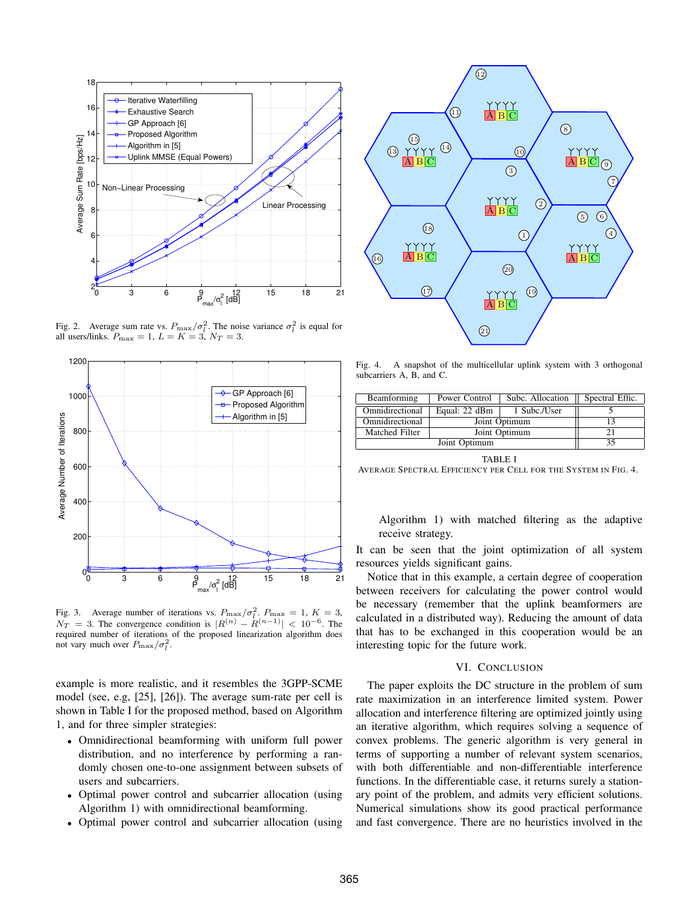

Fig. 2. Average sum rate vs.  $P_{\text{max}}/\sigma_l^2$ . The noise variance  $\sigma_l^2$  is equal for all users/links.  $P_{\text{max}} = 1$ ,  $L = K = 3$ ,  $N_T = 3$ .



Fig. 3. Average number of iterations vs.  $P_{\text{max}}/\sigma_l^2$ .  $P_{\text{max}} = 1$ ,  $K = 3$ ,  $N_T = 3$ . The convergence condition is  $|R^{(n)} - R^{(n-1)}| < 10^{-6}$ . The required number of iterations of the proposed linearization algorithm does not vary much over  $P_{\text{max}}/\sigma_l^2$ .

example is more realistic, and it resembles the 3GPP-SCME model (see, e.g, [25], [26]). The average sum-rate per cell is shown in Table I for the proposed method, based on Algorithm 1, and for three simpler strategies:

- Omnidirectional beamforming with uniform full power distribution, and no interference by performing a randomly chosen one-to-one assignment between subsets of users and subcarriers.
- Optimal power control and subcarrier allocation (using Algorithm 1) with omnidirectional beamforming.
- Optimal power control and subcarrier allocation (using



Fig. 4. A snapshot of the multicellular uplink system with 3 orthogonal subcarriers A, B, and C.

| Beamforming     | Power Control | Subc. Allocation | Spectral Effic. |  |
|-----------------|---------------|------------------|-----------------|--|
| Omnidirectional | Equal: 22 dBm | 1 Subc./User     |                 |  |
| Omnidirectional |               |                  |                 |  |
| Matched Filter  | Joint Optimum |                  |                 |  |
|                 | 35            |                  |                 |  |

TABLE I

AVERAGE SPECTRAL EFFICIENCY PER CELL FOR THE SYSTEM IN FIG. 4.

Algorithm 1) with matched filtering as the adaptive receive strategy.

It can be seen that the joint optimization of all system resources yields significant gains.

Notice that in this example, a certain degree of cooperation between receivers for calculating the power control would be necessary (remember that the uplink beamformers are calculated in a distributed way). Reducing the amount of data that has to be exchanged in this cooperation would be an interesting topic for the future work.

## VI. CONCLUSION

The paper exploits the DC structure in the problem of sum rate maximization in an interference limited system. Power allocation and interference filtering are optimized jointly using an iterative algorithm, which requires solving a sequence of convex problems. The generic algorithm is very general in terms of supporting a number of relevant system scenarios, with both differentiable and non-differentiable interference functions. In the differentiable case, it returns surely a stationary point of the problem, and admits very efficient solutions. Numerical simulations show its good practical performance and fast convergence. There are no heuristics involved in the